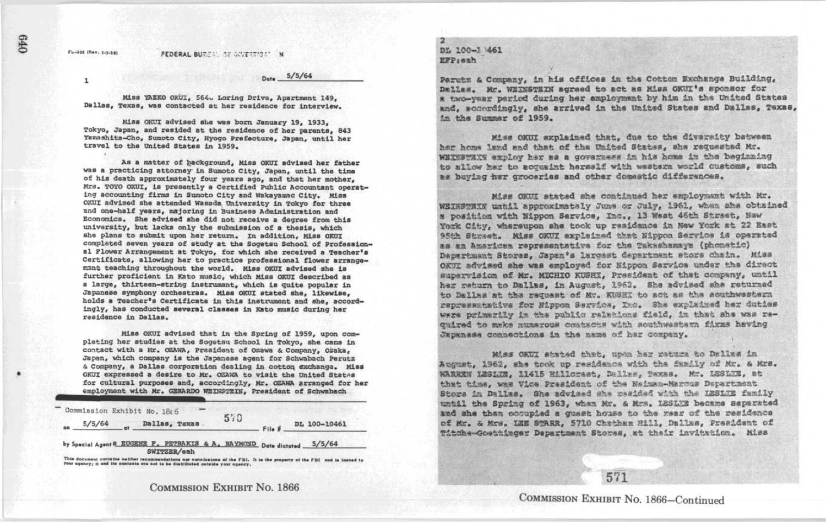## Fu-303 (Rev. 1-1-59) FEDERAL BUREAL OF WATERING!" N

 $5/5/64$ 

Miss YAEKO OKUL, 564. Loring Drive, Apartment 149. Dallas, Texas, was contacted at her residence for interview.

Kiss 01W1 advised she was born January 19, 1933, Tokyo, Japan, and resided at the residence of her parents. 843 Yamashita-Cho, Sumoto City, Hyogo Prefecture, Japan, until her travel to the United States in 1959.

As a matter of background, Miss OKUI advised her father was a practicing attorney in Sumoto City, Japan, until the time of his death approximately four years ago, and that her mother, Mrs. TOYO OKUI, is presently a Certified Public Accountant operating accounting firms in Sumoto City and Wakayamac City. Miss 0XU1 advised she attended Wasada,University in Tokyo for three and one-half years, majoring in Business Administration and Economics . She advised she did not receive a degree from this University, but lacks only the submission of a thesis, which she plans to submit upon her return. In addition, Miss OKUI completed seven years of study at the Sogetsu School of Professional Flower Arrangement at Tokyo, for which she received a Teacher's Certificate, allowing her to practice professional flower arrange mant teaching throughout the world. Miss OKUI advised she is further proficient in Kato music, which Miss OKUI described as <sup>a</sup> large, thirteen-string instrument, which is quite popular in Japanese symphony orchestras. Miss OKUI stated she, likewise, holds a Teacher's Certificate in this instrument and she, accordingly, has conducted several classes in Xato music during her residence in Dallas . Niss OKUI advised she was born January 19, 1933,<br>
Nameshita-Cho, Sumoto City, Nyego Frefacture, Japan, until her<br>
travel to the Chivar Strategies in the Summatric-Cho, Sumoto City, Nyego Frefacture, Japan, until her<br>
trave

> Miss 0KU1 advised that in the Spring of 1959, upon complating her studies at the Sogetsu School in Tokyo, she came in contact with a Mr. OZAWA, President of Ozawa & Company, Ozaka, Japan, which company is the Japanese agent for Schwabach Perutz & Company, a Dallas corporation dealing in cotton exchange. Miss OKUI expressed a desire to Mr. OZAWA to visit the United States for cultural purposes and, accordingly, Mr. OZAWA arranged for her employment with Mr. GERARDO WEINSTEIN. President of Schwabach

Commission Exhibit No. 18(6) 5/5/64 Dallas, Texas 570 DL 100-10461

by Special Agent 8 EUGENE F, PETRAKIS & A. RAYMOND Date dictated 5/5/64 SWITZER/GRh<br>This decument contains nother recommendations nor conclusions of the FBI. It is the property of the FBI and is loaned to

your agency; it and its contents are not to be distributed outside your agency.

## 2 DL t00-7\_461 zrpgaah

Parutz & Company, in his offices in the Cotton Exchange Building, Dmllas. Mr. WEINSTEIN agreed to act as Miss OKUI's sponsor for a two-year period during her employment by him in the United States and, accordingly, she arrived in the United States and Dallas, Texas, in the Summar of 1959.

Miss OKUI explained that, due to the diversity between har home land and that of the United States, she requested Mr. WEINBYNIY exploy her as a governess in his home in the baginning to allow har to acquaint herself with wastern world customs, such as baying her groceries and other domestic differences.

Miss OKUI atated she continued her employment with Mr. WEIKSTEIN watil approximately June or July, 1961, when ahe obtained a position with Nippon Service, Inc., 13 West 46th Street, New York City, whereupon she took up residence in New York at 22 East 95th Street. Miss OKUI explained that Nippon Service is operated as an Amarican representative for the Takashamaya (phonetic) Depertmant Stores, Japan's laroast department store chain. Miss OK3I advised she was employed for Nippon Sarvice under the direct surervision of Mr. MICHIO KUSHI, President of that company, until her return to Dallas, in August, 1962. She advised she returned to Dallas at the reguest of Mg. KUNKI to act as the southwesters. representative for Nippon Service, Ind. She explained her duties were primerily in the public ralations field, in that she was reguired to make mumerous controts with southwestern firms having Japanese comnections in the mame of her company.

Miss OKUI stated that, upon her return to Dallas in August, 1962, sha took up residence with the fundly of Mr. & Mrs. wARREN LESLUE, 11415 Hillorest, Dalles, Taxas. Mr. 12810E, at<br>that time, was Vice President of the Neiman-Marcus Department r the contribution of the state of the state of series and the state of series and the state of the state of the state of the state of the state of the state of the state of the state of the state of the state of the prast Store in Dallas. She advised she resided with the LESLIE family until the Spring of 1963, when Mr. & Mrs. LESLUE became separated and she then cooupied a quest house to the rear of the reaidence of Mr. & Mrs. IZE STARR, 5710 Chatham Hill, Dallas, President of Titche-Gosttinger Department Stores, at their invitation. Miss

 $\mathbf{I}$